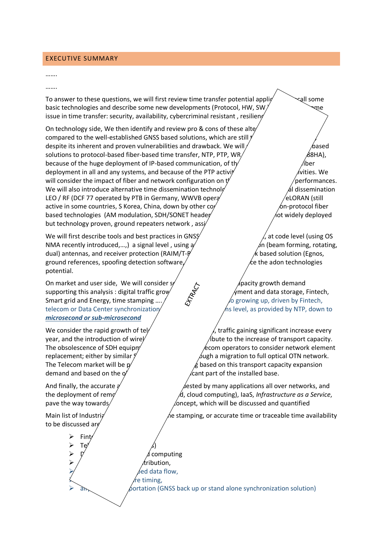### EXECUTIVE SUMMARY

#### …….

#### …….

To answer to these questions, we will first review time transfer potential applie  $\sim$  all some basic technologies and describe some new developments (Protocol, HW, SW issue in time transfer: security, availability, cybercriminal resistant, resilieng

On technology side, We then identify and review pro  $\&$  cons of these altegies technology side, We then identify and review pro  $\&$  consideratives these compared to the well-established GNSS based solutions, which are still despite its inherent and proven vulnerabilities and drawback. We will  $\ell$ solutions to protocol-based fiber-based time transfer, NTP, PTP, WR/ $\overline{\phantom{a}}$   $\overline{\phantom{a}}$   $\overline{\phantom{a}}$   $\overline{\phantom{a}}$   $\overline{\phantom{a}}$   $\overline{\phantom{a}}$   $\overline{\phantom{a}}$   $\overline{\phantom{a}}$   $\overline{\phantom{a}}$   $\overline{\phantom{a}}$   $\overline{\phantom{a}}$   $\overline{\phantom{a}}$   $\overline{\phantom{a$ because of the huge deployment of IP-based communication, of the numeror  $\Lambda$ ber deployment in all and any systems, and because of the PTP activity and the Muslim and the PTP  $\alpha$ will consider the impact of fiber and network configuration on  $t$   $\ell$  errformances. We will also introduce alternative time dissemination technological metals on  $\mathcal{A}$  dissemination LEO / RF (DCF 77 operated by PTB in Germany, WWVB operation of the USC  $\neq$  LORAN (still active in some countries, S Korea, China, down by other co $\sim$  6n-protocol fiber based technologies (AM modulation, SDH/SONET header base solution, not widely deployed but technology proven, ground repeaters network, ass

We will first describe tools and best practices in GNSS security in the security in the value of the value of  $\ell$ , at code level (using OS NMA recently introduced,...,) a signal level, using  $a$ <sup>/</sup>  $\qquad \qquad \beta$ n (beam forming, rotating, dual) antennas, and receiver protection  $(RAIM/T-F)$   $\star$  based solution (Egnos, ground references, spoofing detection software, the intermediate the adon technologies potential.

On market and user side, We will consider some major of the pacity growth demand<br>supporting this analysis : digital traffic grow<br>Smart grid and Energy, time stamping<br>telecometric intervals of the stamping supporting this analysis : digital traffic grow  $\overline{X}$  /ment and data storage, Fintech, Smart grid and Energy, time stamping  $\ldots$  /  $\hat{S}$  /  $\hat{\beta}$  growing up, driven by Fintech, telecom or Data Center synchronization  $\sqrt{ }$  hs level, as provided by NTP, down to *microsecond or sub-microsecond*

demand and based on the  $\alpha'$  significant part of the installed base.

to be discussed are

**Fint**  $\triangleright$  Te<sup>l</sup>  $\stackrel{\sim}{\longrightarrow}$ 

computing tribution, ed data flow, re timing, ortation (GNSS back up or stand alone synchronization solution)

We consider the rapid growth of telecom capacity demand, traffic gaining significant increase every year, and the introduction of wireless 5G will highly contribute to the increase of transport capacity. The obsolescence of SDH equipment is also decomponent of consider network element replacement; either by similar  $\zeta$  sumplement of the simulation to full optical OTN network. The Telecom market will be  $p'$  and the set on this transport capacity expansion

And finally, the accurate  $\alpha$  and traceable time requested by many applications all over networks, and the deployment of remotion integration in fracture (Cloud, cloud computing), IaaS, *Infrastructure as a Service*, pave the way towards a "*Tome and a "Time as "Ancept*, which will be discussed and quantified

Main list of Industrial areas requesting the stamping, or accurate time or traceable time availability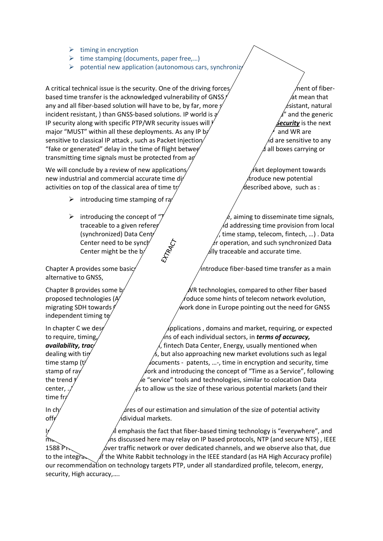- $\triangleright$  timing in encryption
- $\triangleright$  time stamping (documents, paper free,...)
- $\triangleright$  potential new application (autonomous cars, synchronize

A critical technical issue is the security. One of the driving forces  $\hat{a}$  supporting the deployment of fiberbased time transfer is the acknowledged vulnerability of GNSS  $\ell$  at mean that mean that mean that mean that mean that mean that mean that mean that mean that mean that mean that mean that mean that mean summa mean  $\ell$  any and all fiber-based solution will have to be, by far, more  $s'$  expected (existant, natural resistant, natural incident resistant, ) than GNSS-based solutions. IP world is  $\frac{a}{a}$  and the generic IP security along with specific PTP/WR security issues will  $\ell$  **Security** is the next major "MUST" within all these deployments. As any IP b $\gamma$  and WR are sensitive to classical IP attack, such as Packet Injection/  $\overline{\phantom{a}}$  are sensitive to any "fake or generated" delay in the time of flight betwee $\ell$  masses and all boxes carrying or transmitting time signals must be protected from a

We will conclude by a review of new applications/  $\ell$  may drive a matrix deployment towards new industrial and commercial accurate time  $\frac{div}{dx}$  integration. We will integrate the will integrate new potential activities on top of the classical area of time  $tr$  and  $\theta$  described above, such as :

- $\triangleright$  introducing time stamping of ra
- 

alternative to GNSS,

independent timing te

time fr

introducing the concept of " $\tilde{z}$  aiming to disseminate time signals, traceable to a given referer **potentially UTC, and addressing time provision from local** (synchronized) Data Center to local user (energy, time stamp, telecom, fintech, …) . Data Center need to be synchronized  $\zeta$  their properation, and such synchronized Data Center might be the b $\chi^2$   $\mathbb{R}^3$  ally traceable and accurate time.

Chapter A provides some basic/  $/$  the solution of the transfer as a main

Chapter B provides some b/ $\mathcal{N}$ R technologies, compared to other fiber based proposed technologies (AM modulation) and introduce some hints of telecom network evolution, migrating SDH towards  $\ell$  and the metal work done in Europe pointing out the need for GNSS

In chapter C we desertially the various time applications , domains and market, requiring, or expected to require, timing, and discussed to require, timing,  $\sqrt{a}$  and  $\sqrt{a}$  and  $\sqrt{a}$  and  $\sqrt{a}$  and  $\sqrt{a}$  and  $\sqrt{a}$  and  $\sqrt{a}$  and  $\sqrt{a}$  and  $\sqrt{a}$  and  $\sqrt{a}$  and  $\sqrt{a}$  and  $\sqrt{a}$  and  $\sqrt{a}$  and  $\sqrt{a}$  and **availability, trac**/*dieneral telecom, fintech Data Center, Energy, usually mentioned when* dealing with time and frequency is not also approaching new market evolutions such as legal time stamp ( $t^{\gamma}$  documents - patents, ...-, time in encryption and security, time stamp of ray data for sensors  $\alpha$  for sensors network and introducing the concept of "Time as a Service", following the trend  $t$  most on the "service" tools and technologies, similar to colocation Data center,  $\frac{1}{2}$  center,  $\frac{1}{2}$  center,  $\frac{1}{2}$  center,  $\frac{1}{2}$  center,  $\frac{1}{2}$  center,  $\frac{1}{2}$  center,  $\frac{1}{2}$  center,  $\frac{1}{2}$  center,  $\frac{1}{2}$  center,  $\frac{1}{2}$  center,  $\frac{1}{2}$  center,  $\frac{1}{2}$  cente

In  $\mathsf{ch}'$  are provide figures of our estimation and simulation of the size of potential activity  $\delta$  off  $\epsilon$  individual markets.

emphasis the fact that fiber-based timing technology is "everywhere", and  $m_{\rm b}$  and applications discussed here may relay on IP based protocols, NTP (and secure NTS) , IEEE 1588 P<sub>D</sub>  $\phi$ ver traffic network or over dedicated channels, and we observe also that, due to the integration of the White Rabbit technology in the IEEE standard (as HA High Accuracy profile) our recommendation on technology targets PTP, under all standardized profile, telecom, energy, security, High accuracy,….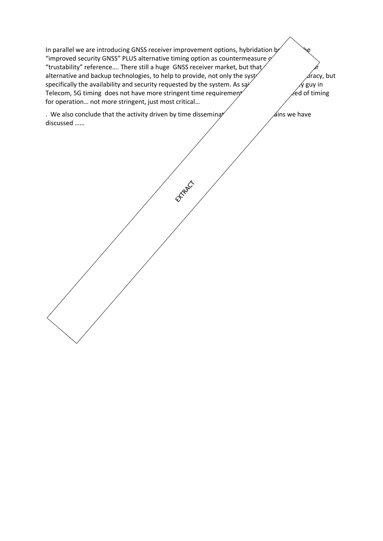In parallel we are introducing GNSS receiver improvement options, hybridation  $k$ "improved security GNSS" PLUS alternative timing option as countermeasure  $\rho$ "trustability" reference.... There still a huge GNSS receiver market, but that  $\overbrace{\text{arcc}}$  atternative and backup technologies, to help to provide, not only the syst and stracy, but alternative and backup technologies, to help to provide, not only the syst specifically the availability and security requested by the system. As say  $\sqrt{g}$  guy in Telecom, 5G timing does not have more stringent time requirement,  $\ell$ ed of timing for operation… not more stringent, just most critical…

EXPART

. We also conclude that the activity driven by time disseminarion in all the dissemicides  $\mathcal{A}$  ins we have discussed ……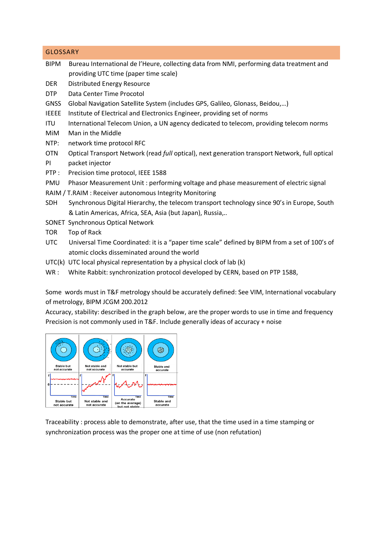## GLOSSARY

- BIPM Bureau International de l'Heure, collecting data from NMI, performing data treatment and providing UTC time (paper time scale)
- DER Distributed Energy Resource
- DTP Data Center Time Procotol
- GNSS Global Navigation Satellite System (includes GPS, Galileo, Glonass, Beidou,…)
- IEEEE Institute of Electrical and Electronics Engineer, providing set of norms
- ITU International Telecom Union, a UN agency dedicated to telecom, providing telecom norms
- MiM Man in the Middle
- NTP: network time protocol RFC
- OTN Optical Transport Network (read *full* optical), next generation transport Network, full optical PI packet injector
- PTP : Precision time protocol, IEEE 1588
- PMU Phasor Measurement Unit : performing voltage and phase measurement of electric signal
- RAIM / T.RAIM : Receiver autonomous Integrity Monitoring
- SDH Synchronous Digital Hierarchy, the telecom transport technology since 90's in Europe, South & Latin Americas, Africa, SEA, Asia (but Japan), Russia,..
- SONET Synchronous Optical Network
- TOR Top of Rack
- UTC Universal Time Coordinated: it is a "paper time scale" defined by BIPM from a set of 100's of atomic clocks disseminated around the world
- UTC(k) UTC local physical representation by a physical clock of lab (k)
- WR : White Rabbit: synchronization protocol developed by CERN, based on PTP 1588,

Some words must in T&F metrology should be accurately defined: See VIM, International vocabulary of metrology, BIPM JCGM 200.2012

Accuracy, stability: described in the graph below, are the proper words to use in time and frequency Precision is not commonly used in T&F. Include generally ideas of accuracy + noise



Traceability : process able to demonstrate, after use, that the time used in a time stamping or synchronization process was the proper one at time of use (non refutation)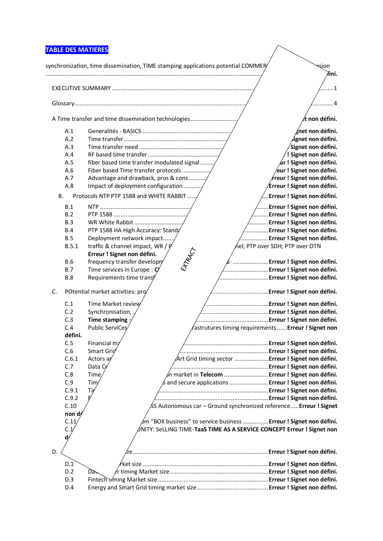# **TABLE DES MATIERES**

|    |                     | <b>TABLE DES MATIERES</b>                                                        |                                                 |                                       |
|----|---------------------|----------------------------------------------------------------------------------|-------------------------------------------------|---------------------------------------|
|    |                     | synchronization, time dissemination, TIME stamping applications potential COMMER |                                                 | श्हांon                               |
|    |                     |                                                                                  |                                                 | łini.                                 |
|    |                     |                                                                                  |                                                 | . 1                                   |
|    |                     |                                                                                  |                                                 | 4                                     |
|    |                     | A Time transfer and time dissemination technologies                              |                                                 | t non défini.                         |
|    |                     |                                                                                  |                                                 |                                       |
|    | A.1<br>A.2          |                                                                                  |                                                 | śnet non défini.<br>ignet non défini. |
|    | A.3                 |                                                                                  |                                                 | Signet non défini.                    |
|    | A.4                 |                                                                                  |                                                 | ! Signet non défini.                  |
|    | A.5                 | fiber based time transfer modulated signal                                       |                                                 | $\acute{a}$ r ! Signet non défini.    |
|    | A.6                 | Fiber based Time transfer protocols                                              |                                                 | ∕eur ! Signet non défini.             |
|    | A.7                 | Advantage and drawback, pros & cons                                              |                                                 | $\ell$ reur ! Signet non défini.      |
|    | A.8                 | Impact of deployment configuration                                               |                                                 | Erreur ! Signet non défini.           |
|    |                     |                                                                                  |                                                 |                                       |
|    | В.                  | Protocols NTP PTP 1588 and WHITE RABBIT                                          |                                                 | . Erreur ! Signet non défini.         |
|    | B.1                 |                                                                                  |                                                 | Erreur ! Signet non défini.           |
|    | B.2                 |                                                                                  |                                                 | Erreur ! Signet non défini.           |
|    | B.3                 | WR White Rabbit                                                                  |                                                 | Erreur ! Signet non défini.           |
|    | <b>B.4</b>          | PTP 1588 HA High Accuracy: Stand;                                                |                                                 | Erreur ! Signet non défini.           |
|    | B.5                 | Deployment network impact                                                        |                                                 | Erreur ! Signet non défini.           |
|    | B.5.1               | traffic & channel impact, WR / P                                                 | $\acute{\alpha}$ el; PTP over SDH; PTP over OTN |                                       |
|    |                     | Erreur ! Signet non défini.                                                      |                                                 |                                       |
|    | <b>B.6</b>          | frequency transfer developry                                                     |                                                 | Erreur ! Signet non défini.           |
|    | B.7                 | Time services in Europe : $\mathbf{C}'$                                          |                                                 | Erreur ! Signet non défini.           |
|    | <b>B.8</b>          | Requirements time transf                                                         |                                                 | Erreur ! Signet non défini.           |
| C. |                     | POtential market activities: pro                                                 |                                                 | Erreur ! Signet non défini.           |
|    | C.1                 | Time Market review                                                               |                                                 | Erreur ! Signet non défini.           |
|    | C.2                 | Synchronisation,                                                                 |                                                 | Erreur ! Signet non défini.           |
|    | C.3                 | Time stamping                                                                    |                                                 |                                       |
|    | C.4                 | Public ServiCes<br>fastrutures timing requirements Erreur ! Signet non           |                                                 |                                       |
|    | défini.             |                                                                                  |                                                 |                                       |
|    | C.5                 | Financial m;                                                                     |                                                 |                                       |
|    | C.6                 | Smart Grid                                                                       |                                                 |                                       |
|    | C.6.1               | Art Grid timing sector  Erreur ! Signet non défini.<br>Actors ay                 |                                                 |                                       |
|    | C.7                 | Data Ce                                                                          |                                                 |                                       |
|    |                     |                                                                                  |                                                 |                                       |
|    | C.8                 | Time<br>∕n market in Telecom  Erreur ! Signet non défini.                        |                                                 |                                       |
|    | C.9                 | Tim<br>and secure applications  Erreur ! Signet non défini.                      |                                                 |                                       |
|    | C.9.1               | Tip                                                                              |                                                 |                                       |
|    | C.9.2               |                                                                                  |                                                 |                                       |
|    | C.10<br>non dy      | ∕SS Autonomous car – Ground synchronized reference <b>Erreur ! Signet</b>        |                                                 |                                       |
|    | C.11                | ∕m "BOX business" to service business E <b>rreur ! Signet non défini.</b>        |                                                 |                                       |
|    |                     |                                                                                  |                                                 |                                       |
|    | C.1<br>$\mathbf{d}$ | INITY: SeLLING TIME-TaaS TIME AS A SERVICE CONCEPT Erreur ! Signet non           |                                                 |                                       |
|    |                     |                                                                                  |                                                 |                                       |
| D. |                     | 2e…………………………………………………………………Erreur!Signet non défini.                             |                                                 |                                       |
|    |                     |                                                                                  |                                                 |                                       |
|    | D.1                 | /rket size ………………………………………………………………… <b>Erreur!Signet non défini.</b>            |                                                 |                                       |
|    | D.2                 | Dàr                                                                              |                                                 |                                       |
|    | D.3                 |                                                                                  |                                                 |                                       |
|    | D.4                 |                                                                                  |                                                 |                                       |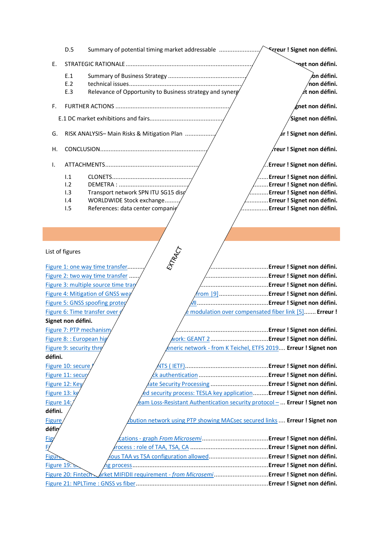|                            | D.5                                    | Summary of potential timing market addressable                             | <b>Streur! Signet non défini.</b>                                             |  |  |  |  |
|----------------------------|----------------------------------------|----------------------------------------------------------------------------|-------------------------------------------------------------------------------|--|--|--|--|
| Е.                         |                                        |                                                                            | प्पूर्et non défini.                                                          |  |  |  |  |
|                            |                                        |                                                                            |                                                                               |  |  |  |  |
|                            | E.1                                    |                                                                            | ∕on défini.                                                                   |  |  |  |  |
|                            | E.2<br>E.3                             |                                                                            | $n$ on défini.<br>'t non défini.                                              |  |  |  |  |
|                            |                                        | Relevance of Opportunity to Business strategy and synerg'                  |                                                                               |  |  |  |  |
| F.                         |                                        |                                                                            | $\not\!\!\!\!\!$ and the defini.                                              |  |  |  |  |
|                            |                                        |                                                                            | Signet non défini.                                                            |  |  |  |  |
| G.                         |                                        | RISK ANALYSIS- Main Risks & Mitigation Plan                                | $\measuredangle$ r ! Signet non défini.                                       |  |  |  |  |
| Η.                         |                                        |                                                                            | reur ! Signet non défini.                                                     |  |  |  |  |
| Ι.                         |                                        |                                                                            | .Erreur ! Signet non défini.                                                  |  |  |  |  |
|                            | 1.1                                    |                                                                            | Erreur ! Signet non défini.                                                   |  |  |  |  |
|                            | 1.2                                    |                                                                            | Erreur ! Signet non défini.                                                   |  |  |  |  |
|                            | 1.3                                    | Transport network SPN ITU SG15 disg                                        | Erreur ! Signet non défini.                                                   |  |  |  |  |
|                            | 1.4                                    | WORLDWIDE Stock exchange                                                   | Erreur ! Signet non défini.                                                   |  |  |  |  |
|                            | 1.5                                    | References: data center companie                                           | Erreur ! Signet non défini.                                                   |  |  |  |  |
|                            |                                        |                                                                            |                                                                               |  |  |  |  |
|                            |                                        |                                                                            |                                                                               |  |  |  |  |
| ETTRACT<br>List of figures |                                        |                                                                            |                                                                               |  |  |  |  |
|                            |                                        |                                                                            |                                                                               |  |  |  |  |
|                            |                                        |                                                                            |                                                                               |  |  |  |  |
|                            |                                        | Figure 1: one way time transfer.                                           | .Erreur ! Signet non défini.                                                  |  |  |  |  |
|                            |                                        | Figure 2: two way time transfer                                            | Erreur ! Signet non défini.                                                   |  |  |  |  |
|                            |                                        | Figure 3: multiple source time trar                                        | Erreur ! Signet non défini.                                                   |  |  |  |  |
|                            |                                        | Figure 4: Mitigation of GNSS wea                                           | from  9]Erreur ! Signet non défini.                                           |  |  |  |  |
|                            |                                        | Figure 5: GNSS spoofing proteg                                             |                                                                               |  |  |  |  |
|                            |                                        | Figure 6: Time transfer over                                               | modulation over compensated fiber link [5] Erreur !                           |  |  |  |  |
|                            | Signet non défini.                     |                                                                            |                                                                               |  |  |  |  |
|                            |                                        | Figure 7: PTP mechanism/                                                   |                                                                               |  |  |  |  |
|                            | Figure 8: : European hig               |                                                                            |                                                                               |  |  |  |  |
| défini.                    | Figure 9: security thre                |                                                                            | <u> éneric network - from K Teichel, ETFS 2019</u> <b>Erreur ! Signet non</b> |  |  |  |  |
|                            |                                        |                                                                            |                                                                               |  |  |  |  |
|                            | Figure 10: secure<br>Figure 11: secur, |                                                                            |                                                                               |  |  |  |  |
|                            | Figure 12: Key                         | ate Security Processing <b>Erreur ! Signet non défini.</b>                 |                                                                               |  |  |  |  |
| Figure 13: kg              |                                        | ed security process: TESLA key applicationErreur ! Signet non défini.      |                                                                               |  |  |  |  |
| Figure 14:                 |                                        |                                                                            |                                                                               |  |  |  |  |
| défini.                    |                                        | eam Loss-Resistant Authentication security protocol -  Erreur ! Signet non |                                                                               |  |  |  |  |
|                            |                                        | bution network using PTP showing MACsec secured links  Erreur ! Signet non |                                                                               |  |  |  |  |
| <b>Figure</b><br>défin     |                                        |                                                                            |                                                                               |  |  |  |  |

П

| Figure 20: Fintech arket MIFIDII requirement - from Microsemi <b>Erreur ! Signet non défini.</b> |
|--------------------------------------------------------------------------------------------------|
|                                                                                                  |
|                                                                                                  |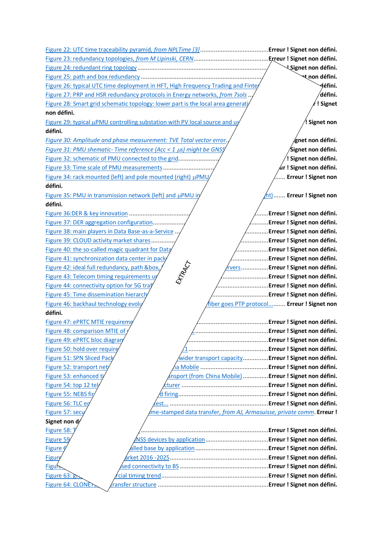Figure 22: UTC time traceability pyramid, *from NPLTime [3]*........................................**Erreur ! Signet non défini.** Figure 23: redundancy topologies, *from M Lipinski, CERN*............................................**Erreur ! Signet non défini.** Figure 24: redundant ring topology .............................................................................**Erreur ! Signet non défini.** Figure 25: path and box redundancy ...........................................................................**Erreur ! Signet non défini.** Figure 26: typical UTC time deployment in HFT, High Frequency Trading and Finte Figure 27: PRP and HSR redundancy protocols in Energy networks, *from 7sols*.../ **Figure 28: Smart grid schematic topology: lower part is the local area generation and provisions of <b>! Signet non défini.** Figure 29: typical  $\mu$ PMU controlling substation with PV local source and  $\mu$  **Example 18** is **Example 19** is **Example 29:**  $\mu$  **Signet non défini.** *Figure 30: Amplitude and phase measurement: TVE Total vector error*.........................**Erreur ! Signet non défini.** *Figure 31: PMU shematic- Time reference (Acc < 1 µs) might be GNSS*  $\overline{\text{Sipnet}}$  non défini. Figure 32: schematic of PMU connected to the grid.....................................................**Erreur ! Signet non défini.** Figure 33: Time scale of PMU measurements..............................................................**Erreur ! Signet non défini.** Figure 34: rack mounted (left) and pole mounted (right)  $\mu$ PMU in the state of serieur **! Signet non défini.** Figure 35: PMU in transmission network (left) and  $\mu$ PMU in distribution network (right)....... **Erreur ! Signet non défini.** Figure 36:DER & key innovation ..................................................................................**Erreur ! Signet non défini.** Figure 37: DER aggregation configuration....................................................................**Erreur ! Signet non défini.** Figure 38: main players in Data Base-as-a-Service .......................................................**Erreur ! Signet non défini.** Figure 39: CLOUD activity market shares.....................................................................**Erreur ! Signet non défini.** Figure 40: the so-called magic quadrant for Data Center, From Gartner.................**Erreur ! Signet non défini.** Figure 41: synchronization data center in pack<br>Figure 42: ideal full redundancy, path &box,<br>Figure 43: Telecom timing requirements up<br>Figure 44: connectivity Figure 42: ideal full redundancy, path &box,  $\frac{Q}{r}$  from UTC clock to **Figurer 1 Signet non défini.** Figure 43: Telecom timing requirements under discussion ..........................................**Erreur ! Signet non défini.** Figure 44: connectivity option for 5G traf<sup>ique v</sup> connectivity option for 5G trafique v connectivity option for 5G trafique v connectivity option for 5G trafique v connectivity option for 5G trafique v connectivity option Figure 45: Time dissemination hierarchy, from ITU-T 8272.1 [5] ..................................**Erreur ! Signet non défini.** Figure 46: backhaul technology evolution - wave fiber goes PTP protocol.......... **Erreur ! Signet non défini.** Figure 47: ePRTC MTIE requirement............................................................................**Erreur ! Signet non défini.** Figure 48: comparison MTIE of various generation PR(T)C...........................................**Erreur ! Signet non défini.** Figure 49: ePRTC bloc diagram, from **ITU-T Gaschilder Communities** Communities **Erreur ! Signet non défini.** Figure 50: hold over require factor of the state of the state of the ITU-T Gas **Fireur ! Signet non défini.** Figure 51: SPN Sliced Pack Network protocol, *Aider transport capacity..............*.**Erreur ! Signet non défini.** Figure 52: transport net Figure 53: enhanced time requirement in 5G transport (from China Mobile)..............**Erreur ! Signet non défini.** Figure 54: top 12 telecom equipment manufacturer ...................................................**Erreur ! Signet non défini.** Figure 55: NEBS fir/ **the summan of the setup:** signet non défini. Figure 56: TLC equipment after NEBS fire test... ..........................................................**Erreur ! Signet non défini.** Figure 57: secu<sup> $\ell$ </sup> examelers and the stamped data transfer, *from AJ, Armasuisse, private comm.* **Erreur !** Signet non d/ Figure 58: The Super GPS project [2] ...........................................................................**Erreur ! Signet non défini.** Figure 59 report End use of GNSS devices by application...............................**Erreur ! Signet non défini.** Figure 60: GSA report: GNSS installed base by application...........................................**Erreur ! Signet non défini.** Figure 61: evolution of fiber market 2016 -2025..........................................................**Erreur ! Signet non défini.** Figure 62:forecasted fiber-based connectivity to BS ....................................................**Erreur ! Signet non défini.** Figure 63: graph of commercial timing trend...............................................................**Erreur ! Signet non défini.** Figure 64: CLONETS T&F transfer structure .................................................................**Erreur ! Signet non défini.**